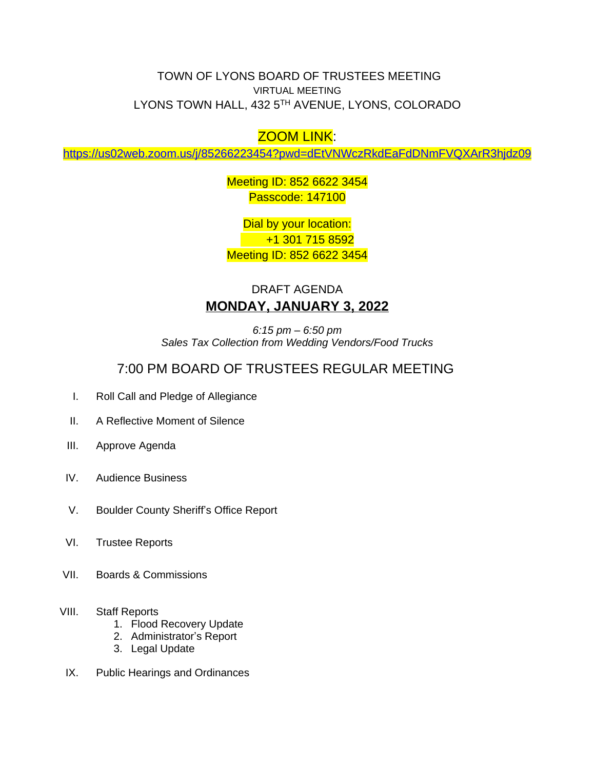TOWN OF LYONS BOARD OF TRUSTEES MEETING VIRTUAL MEETING LYONS TOWN HALL, 432 5TH AVENUE, LYONS, COLORADO

## ZOOM LINK:

<https://us02web.zoom.us/j/85266223454?pwd=dEtVNWczRkdEaFdDNmFVQXArR3hjdz09>

Meeting ID: 852 6622 3454 Passcode: 147100

Dial by your location: +1 301 715 8592 Meeting ID: 852 6622 3454

## DRAFT AGENDA **MONDAY, JANUARY 3, 2022**

*6:15 pm – 6:50 pm Sales Tax Collection from Wedding Vendors/Food Trucks*

## 7:00 PM BOARD OF TRUSTEES REGULAR MEETING

- I. Roll Call and Pledge of Allegiance
- II. A Reflective Moment of Silence
- III. Approve Agenda
- IV. Audience Business
- V. Boulder County Sheriff's Office Report
- VI. Trustee Reports
- VII. Boards & Commissions
- VIII. Staff Reports
	- 1. Flood Recovery Update
	- 2. Administrator's Report
	- 3. Legal Update
- IX. Public Hearings and Ordinances